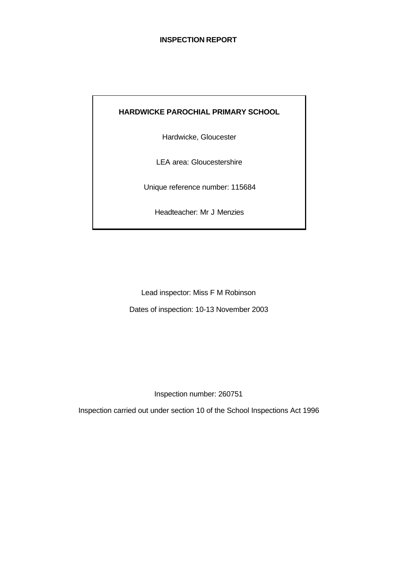### **INSPECTION REPORT**

# **HARDWICKE PAROCHIAL PRIMARY SCHOOL**

Hardwicke, Gloucester

LEA area: Gloucestershire

Unique reference number: 115684

Headteacher: Mr J Menzies

Lead inspector: Miss F M Robinson Dates of inspection: 10-13 November 2003

Inspection number: 260751

Inspection carried out under section 10 of the School Inspections Act 1996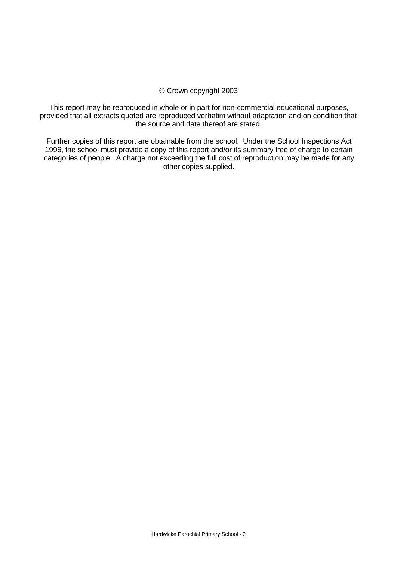### © Crown copyright 2003

This report may be reproduced in whole or in part for non-commercial educational purposes, provided that all extracts quoted are reproduced verbatim without adaptation and on condition that the source and date thereof are stated.

Further copies of this report are obtainable from the school. Under the School Inspections Act 1996, the school must provide a copy of this report and/or its summary free of charge to certain categories of people. A charge not exceeding the full cost of reproduction may be made for any other copies supplied.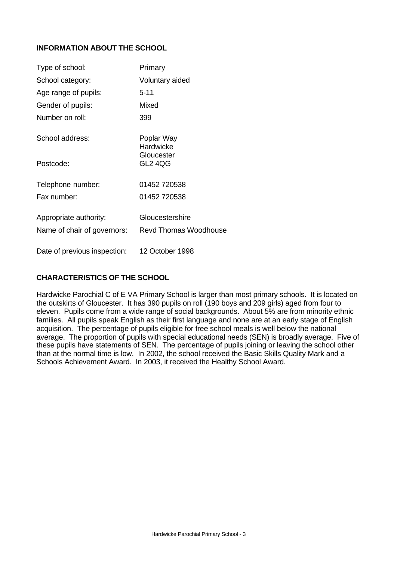# **INFORMATION ABOUT THE SCHOOL**

| Type of school:              | Primary                      |
|------------------------------|------------------------------|
| School category:             | Voluntary aided              |
| Age range of pupils:         | $5 - 11$                     |
| Gender of pupils:            | Mixed                        |
| Number on roll:              | 399                          |
| School address:              | Poplar Way<br>Hardwicke      |
| Postcode:                    | Gloucester<br>GL2 4QG        |
| Telephone number:            | 01452 720538                 |
| Fax number:                  | 01452 720538                 |
| Appropriate authority:       | Gloucestershire              |
| Name of chair of governors:  | <b>Revd Thomas Woodhouse</b> |
| Date of previous inspection: | 12 October 1998              |

# **CHARACTERISTICS OF THE SCHOOL**

Hardwicke Parochial C of E VA Primary School is larger than most primary schools. It is located on the outskirts of Gloucester. It has 390 pupils on roll (190 boys and 209 girls) aged from four to eleven. Pupils come from a wide range of social backgrounds. About 5% are from minority ethnic families. All pupils speak English as their first language and none are at an early stage of English acquisition. The percentage of pupils eligible for free school meals is well below the national average. The proportion of pupils with special educational needs (SEN) is broadly average. Five of these pupils have statements of SEN. The percentage of pupils joining or leaving the school other than at the normal time is low. In 2002, the school received the Basic Skills Quality Mark and a Schools Achievement Award. In 2003, it received the Healthy School Award.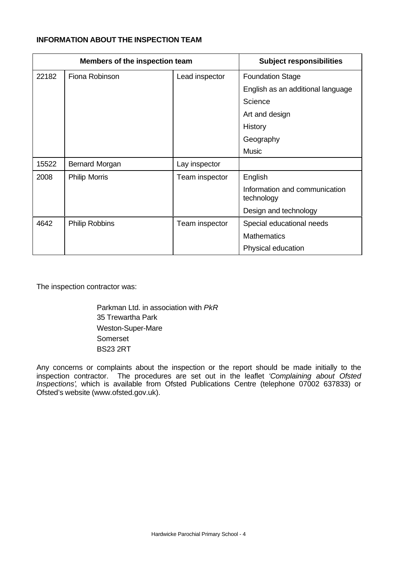### **INFORMATION ABOUT THE INSPECTION TEAM**

| Members of the inspection team |                       | <b>Subject responsibilities</b> |                                             |
|--------------------------------|-----------------------|---------------------------------|---------------------------------------------|
| 22182                          | Fiona Robinson        | Lead inspector                  | <b>Foundation Stage</b>                     |
|                                |                       |                                 | English as an additional language           |
|                                |                       |                                 | Science                                     |
|                                |                       |                                 | Art and design                              |
|                                |                       |                                 | History                                     |
|                                |                       |                                 | Geography                                   |
|                                |                       |                                 | <b>Music</b>                                |
| 15522                          | Bernard Morgan        | Lay inspector                   |                                             |
| 2008                           | <b>Philip Morris</b>  | Team inspector                  | English                                     |
|                                |                       |                                 | Information and communication<br>technology |
|                                |                       |                                 | Design and technology                       |
| 4642                           | <b>Philip Robbins</b> | Team inspector                  | Special educational needs                   |
|                                |                       |                                 | <b>Mathematics</b>                          |
|                                |                       |                                 | Physical education                          |

The inspection contractor was:

Parkman Ltd. in association with *PkR* 35 Trewartha Park Weston-Super-Mare Somerset BS23 2RT

Any concerns or complaints about the inspection or the report should be made initially to the inspection contractor. The procedures are set out in the leaflet *'Complaining about Ofsted Inspections'*, which is available from Ofsted Publications Centre (telephone 07002 637833) or Ofsted's website (www.ofsted.gov.uk).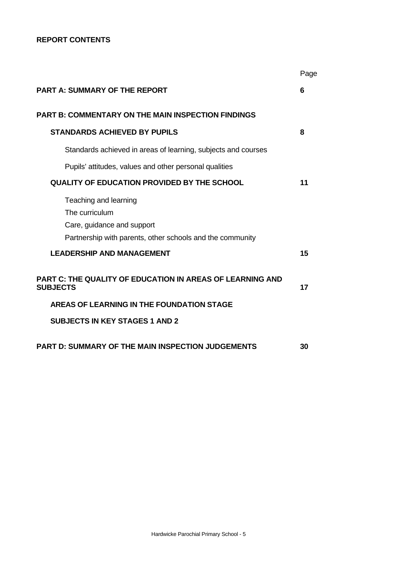### **REPORT CONTENTS**

|                                                                                                                                    | Page |
|------------------------------------------------------------------------------------------------------------------------------------|------|
| <b>PART A: SUMMARY OF THE REPORT</b>                                                                                               | 6    |
| <b>PART B: COMMENTARY ON THE MAIN INSPECTION FINDINGS</b>                                                                          |      |
| <b>STANDARDS ACHIEVED BY PUPILS</b>                                                                                                | 8    |
| Standards achieved in areas of learning, subjects and courses                                                                      |      |
| Pupils' attitudes, values and other personal qualities                                                                             |      |
| <b>QUALITY OF EDUCATION PROVIDED BY THE SCHOOL</b>                                                                                 | 11   |
| Teaching and learning<br>The curriculum<br>Care, guidance and support<br>Partnership with parents, other schools and the community |      |
| <b>LEADERSHIP AND MANAGEMENT</b>                                                                                                   | 15   |
| PART C: THE QUALITY OF EDUCATION IN AREAS OF LEARNING AND<br><b>SUBJECTS</b>                                                       | 17   |
| AREAS OF LEARNING IN THE FOUNDATION STAGE                                                                                          |      |
| <b>SUBJECTS IN KEY STAGES 1 AND 2</b>                                                                                              |      |
| <b>PART D: SUMMARY OF THE MAIN INSPECTION JUDGEMENTS</b>                                                                           | 30   |
|                                                                                                                                    |      |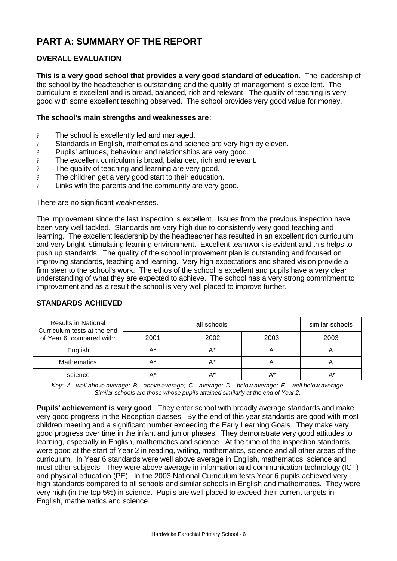# **PART A: SUMMARY OF THE REPORT**

# **OVERALL EVALUATION**

**This is a very good school that provides a very good standard of education**. The leadership of the school by the headteacher is outstanding and the quality of management is excellent. The curriculum is excellent and is broad, balanced, rich and relevant. The quality of teaching is very good with some excellent teaching observed. The school provides very good value for money.

### **The school's main strengths and weaknesses are**:

- ? The school is excellently led and managed.
- ? Standards in English, mathematics and science are very high by eleven.
- ? Pupils' attitudes, behaviour and relationships are very good.
- ? The excellent curriculum is broad, balanced, rich and relevant.
- ? The quality of teaching and learning are very good.
- ? The children get a very good start to their education.
- ? Links with the parents and the community are very good.

There are no significant weaknesses.

The improvement since the last inspection is excellent. Issues from the previous inspection have been very well tackled. Standards are very high due to consistently very good teaching and learning. The excellent leadership by the headteacher has resulted in an excellent rich curriculum and very bright, stimulating learning environment. Excellent teamwork is evident and this helps to push up standards. The quality of the school improvement plan is outstanding and focused on improving standards, teaching and learning. Very high expectations and shared vision provide a firm steer to the school's work. The ethos of the school is excellent and pupils have a very clear understanding of what they are expected to achieve. The school has a very strong commitment to improvement and as a result the school is very well placed to improve further.

| <b>Results in National</b><br>Curriculum tests at the end<br>of Year 6, compared with: |      | similar schools |      |      |
|----------------------------------------------------------------------------------------|------|-----------------|------|------|
|                                                                                        | 2001 | 2002            | 2003 | 2003 |
| English                                                                                |      | A*              |      |      |
| <b>Mathematics</b>                                                                     |      | A*              |      |      |
| science                                                                                |      | A*              | A*   |      |

### **STANDARDS ACHIEVED**

*Key: A - well above average; B – above average; C – average; D – below average; E – well below average Similar schools are those whose pupils attained similarly at the end of Year 2.*

**Pupils' achievement is very good**. They enter school with broadly average standards and make very good progress in the Reception classes. By the end of this year standards are good with most children meeting and a significant number exceeding the Early Learning Goals. They make very good progress over time in the infant and junior phases. They demonstrate very good attitudes to learning, especially in English, mathematics and science. At the time of the inspection standards were good at the start of Year 2 in reading, writing, mathematics, science and all other areas of the curriculum. In Year 6 standards were well above average in English, mathematics, science and most other subjects. They were above average in information and communication technology (ICT) and physical education (PE). In the 2003 National Curriculum tests Year 6 pupils achieved very high standards compared to all schools and similar schools in English and mathematics. They were very high (in the top 5%) in science. Pupils are well placed to exceed their current targets in English, mathematics and science.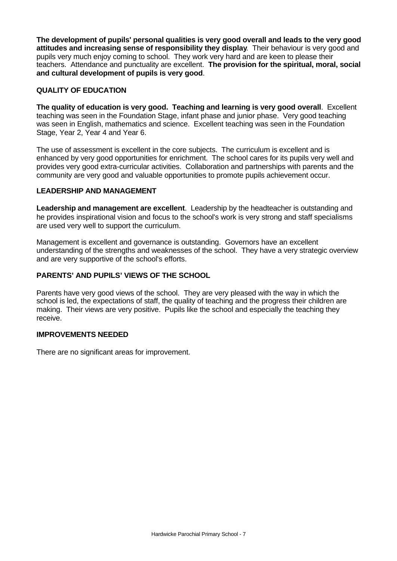**The development of pupils' personal qualities is very good overall and leads to the very good attitudes and increasing sense of responsibility they display**. Their behaviour is very good and pupils very much enjoy coming to school. They work very hard and are keen to please their teachers. Attendance and punctuality are excellent. **The provision for the spiritual, moral, social and cultural development of pupils is very good**.

### **QUALITY OF EDUCATION**

**The quality of education is very good. Teaching and learning is very good overall**. Excellent teaching was seen in the Foundation Stage, infant phase and junior phase. Very good teaching was seen in English, mathematics and science. Excellent teaching was seen in the Foundation Stage, Year 2, Year 4 and Year 6.

The use of assessment is excellent in the core subjects. The curriculum is excellent and is enhanced by very good opportunities for enrichment. The school cares for its pupils very well and provides very good extra-curricular activities. Collaboration and partnerships with parents and the community are very good and valuable opportunities to promote pupils achievement occur.

### **LEADERSHIP AND MANAGEMENT**

**Leadership and management are excellent**. Leadership by the headteacher is outstanding and he provides inspirational vision and focus to the school's work is very strong and staff specialisms are used very well to support the curriculum.

Management is excellent and governance is outstanding. Governors have an excellent understanding of the strengths and weaknesses of the school. They have a very strategic overview and are very supportive of the school's efforts.

## **PARENTS' AND PUPILS' VIEWS OF THE SCHOOL**

Parents have very good views of the school. They are very pleased with the way in which the school is led, the expectations of staff, the quality of teaching and the progress their children are making. Their views are very positive. Pupils like the school and especially the teaching they receive.

### **IMPROVEMENTS NEEDED**

There are no significant areas for improvement.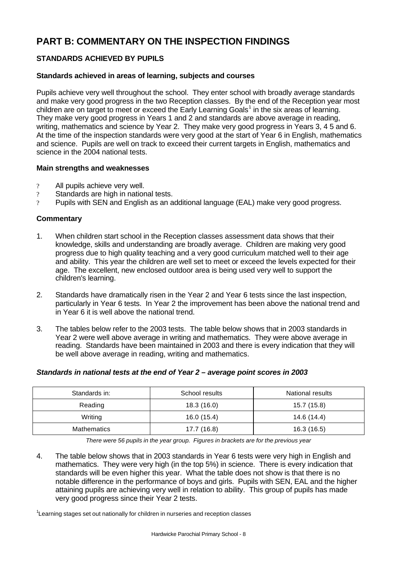# **PART B: COMMENTARY ON THE INSPECTION FINDINGS**

# **STANDARDS ACHIEVED BY PUPILS**

### **Standards achieved in areas of learning, subjects and courses**

Pupils achieve very well throughout the school. They enter school with broadly average standards and make very good progress in the two Reception classes. By the end of the Reception year most children are on target to meet or exceed the Early Learning Goals<sup>1</sup> in the six areas of learning. They make very good progress in Years 1 and 2 and standards are above average in reading, writing, mathematics and science by Year 2. They make very good progress in Years 3, 4 5 and 6. At the time of the inspection standards were very good at the start of Year 6 in English, mathematics and science. Pupils are well on track to exceed their current targets in English, mathematics and science in the 2004 national tests.

### **Main strengths and weaknesses**

- ? All pupils achieve very well.
- ? Standards are high in national tests.
- ? Pupils with SEN and English as an additional language (EAL) make very good progress.

### **Commentary**

- 1. When children start school in the Reception classes assessment data shows that their knowledge, skills and understanding are broadly average. Children are making very good progress due to high quality teaching and a very good curriculum matched well to their age and ability. This year the children are well set to meet or exceed the levels expected for their age. The excellent, new enclosed outdoor area is being used very well to support the children's learning.
- 2. Standards have dramatically risen in the Year 2 and Year 6 tests since the last inspection, particularly in Year 6 tests. In Year 2 the improvement has been above the national trend and in Year 6 it is well above the national trend.
- 3. The tables below refer to the 2003 tests. The table below shows that in 2003 standards in Year 2 were well above average in writing and mathematics. They were above average in reading. Standards have been maintained in 2003 and there is every indication that they will be well above average in reading, writing and mathematics.

### *Standards in national tests at the end of Year 2 – average point scores in 2003*

| Standards in: | School results | <b>National results</b> |
|---------------|----------------|-------------------------|
| Reading       | 18.3(16.0)     | 15.7 (15.8)             |
| Writing       | 16.0 (15.4)    | 14.6 (14.4)             |
| Mathematics   | 17.7 (16.8)    | 16.3 (16.5)             |

*There were 56 pupils in the year group. Figures in brackets are for the previous year*

4. The table below shows that in 2003 standards in Year 6 tests were very high in English and mathematics. They were very high (in the top 5%) in science. There is every indication that standards will be even higher this year. What the table does not show is that there is no notable difference in the performance of boys and girls. Pupils with SEN, EAL and the higher attaining pupils are achieving very well in relation to ability. This group of pupils has made very good progress since their Year 2 tests.

<sup>1</sup>Learning stages set out nationally for children in nurseries and reception classes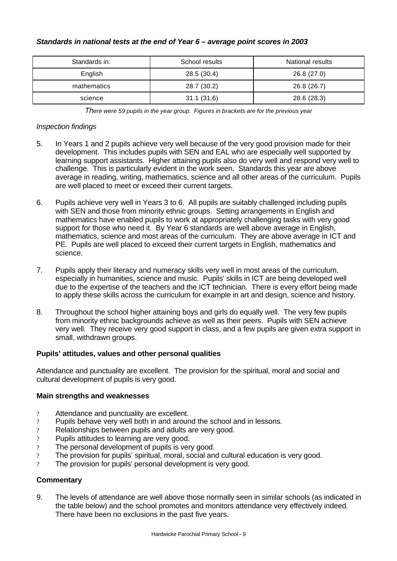### *Standards in national tests at the end of Year 6 – average point scores in 2003*

| Standards in: | School results | National results |
|---------------|----------------|------------------|
| English       | 28.5 (30.4)    | 26.8 (27.0)      |
| mathematics   | 28.7 (30.2)    | 26.8 (26.7)      |
| science       | 31.1(31.6)     | 28.6 (28.3)      |

*There were 59 pupils in the year group. Figures in brackets are for the previous year*

### *Inspection findings*

- 5. In Years 1 and 2 pupils achieve very well because of the very good provision made for their development. This includes pupils with SEN and EAL who are especially well supported by learning support assistants. Higher attaining pupils also do very well and respond very well to challenge. This is particularly evident in the work seen. Standards this year are above average in reading, writing, mathematics, science and all other areas of the curriculum. Pupils are well placed to meet or exceed their current targets.
- 6. Pupils achieve very well in Years 3 to 6. All pupils are suitably challenged including pupils with SEN and those from minority ethnic groups. Setting arrangements in English and mathematics have enabled pupils to work at appropriately challenging tasks with very good support for those who need it. By Year 6 standards are well above average in English, mathematics, science and most areas of the curriculum. They are above average in ICT and PE. Pupils are well placed to exceed their current targets in English, mathematics and science.
- 7. Pupils apply their literacy and numeracy skills very well in most areas of the curriculum, especially in humanities, science and music. Pupils' skills in ICT are being developed well due to the expertise of the teachers and the ICT technician. There is every effort being made to apply these skills across the curriculum for example in art and design, science and history.
- 8. Throughout the school higher attaining boys and girls do equally well. The very few pupils from minority ethnic backgrounds achieve as well as their peers. Pupils with SEN achieve very well. They receive very good support in class, and a few pupils are given extra support in small, withdrawn groups.

### **Pupils' attitudes, values and other personal qualities**

Attendance and punctuality are excellent. The provision for the spiritual, moral and social and cultural development of pupils is very good.

### **Main strengths and weaknesses**

- ? Attendance and punctuality are excellent.
- ? Pupils behave very well both in and around the school and in lessons.
- ? Relationships between pupils and adults are very good.
- ? Pupils attitudes to learning are very good.
- ? The personal development of pupils is very good.
- ? The provision for pupils' spiritual, moral, social and cultural education is very good.
- ? The provision for pupils' personal development is very good.

### **Commentary**

9. The levels of attendance are well above those normally seen in similar schools (as indicated in the table below) and the school promotes and monitors attendance very effectively indeed. There have been no exclusions in the past five years.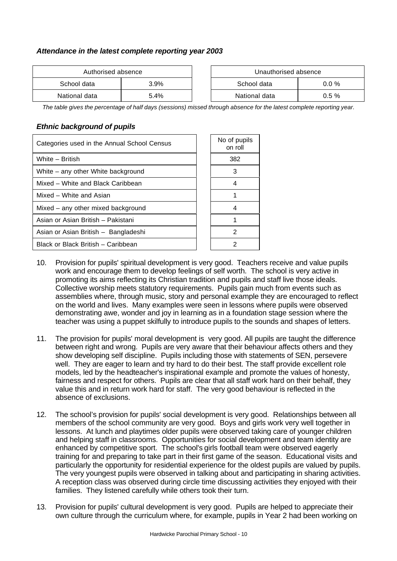## *Attendance in the latest complete reporting year 2003*

| Authorised absence |         | Unauthorised absence |          |
|--------------------|---------|----------------------|----------|
| School data        | $3.9\%$ | School data          | $0.0 \%$ |
| National data      | 5.4%    | National data        | $0.5 \%$ |

| Authorised absence |         | Unauthorised absence    |          |
|--------------------|---------|-------------------------|----------|
| data               | $3.9\%$ | School data<br>$0.0 \%$ |          |
| data               | 5.4%    | National data           | $0.5 \%$ |

*The table gives the percentage of half days (sessions) missed through absence for the latest complete reporting year.*

### *Ethnic background of pupils*

| Categories used in the Annual School Census | No of pupils<br>on roll |
|---------------------------------------------|-------------------------|
| White - British                             | 382                     |
| White – any other White background          | 3                       |
| Mixed - White and Black Caribbean           |                         |
| Mixed - White and Asian                     |                         |
| Mixed – any other mixed background          |                         |
| Asian or Asian British - Pakistani          |                         |
| Asian or Asian British - Bangladeshi        | 2                       |
| Black or Black British - Caribbean          |                         |

- 10. Provision for pupils' spiritual development is very good. Teachers receive and value pupils work and encourage them to develop feelings of self worth. The school is very active in promoting its aims reflecting its Christian tradition and pupils and staff live those ideals. Collective worship meets statutory requirements. Pupils gain much from events such as assemblies where, through music, story and personal example they are encouraged to reflect on the world and lives. Many examples were seen in lessons where pupils were observed demonstrating awe, wonder and joy in learning as in a foundation stage session where the teacher was using a puppet skilfully to introduce pupils to the sounds and shapes of letters.
- 11. The provision for pupils' moral development is very good. All pupils are taught the difference between right and wrong. Pupils are very aware that their behaviour affects others and they show developing self discipline. Pupils including those with statements of SEN, persevere well. They are eager to learn and try hard to do their best. The staff provide excellent role models, led by the headteacher's inspirational example and promote the values of honesty, fairness and respect for others. Pupils are clear that all staff work hard on their behalf, they value this and in return work hard for staff. The very good behaviour is reflected in the absence of exclusions.
- 12. The school's provision for pupils' social development is very good. Relationships between all members of the school community are very good. Boys and girls work very well together in lessons. At lunch and playtimes older pupils were observed taking care of younger children and helping staff in classrooms. Opportunities for social development and team identity are enhanced by competitive sport. The school's girls football team were observed eagerly training for and preparing to take part in their first game of the season. Educational visits and particularly the opportunity for residential experience for the oldest pupils are valued by pupils. The very youngest pupils were observed in talking about and participating in sharing activities. A reception class was observed during circle time discussing activities they enjoyed with their families. They listened carefully while others took their turn.
- 13. Provision for pupils' cultural development is very good. Pupils are helped to appreciate their own culture through the curriculum where, for example, pupils in Year 2 had been working on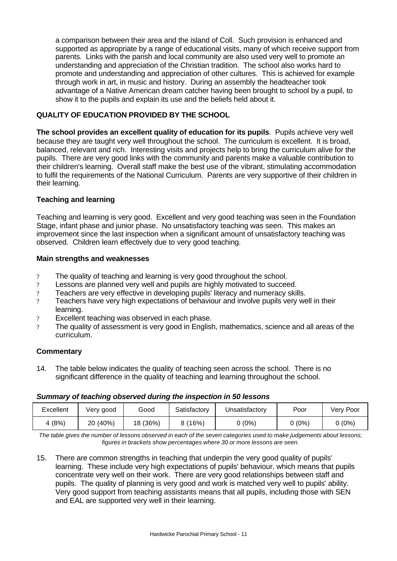a comparison between their area and the island of Coll. Such provision is enhanced and supported as appropriate by a range of educational visits, many of which receive support from parents. Links with the parish and local community are also used very well to promote an understanding and appreciation of the Christian tradition. The school also works hard to promote and understanding and appreciation of other cultures. This is achieved for example through work in art, in music and history. During an assembly the headteacher took advantage of a Native American dream catcher having been brought to school by a pupil, to show it to the pupils and explain its use and the beliefs held about it.

## **QUALITY OF EDUCATION PROVIDED BY THE SCHOOL**

**The school provides an excellent quality of education for its pupils**. Pupils achieve very well because they are taught very well throughout the school. The curriculum is excellent. It is broad, balanced, relevant and rich. Interesting visits and projects help to bring the curriculum alive for the pupils. There are very good links with the community and parents make a valuable contribution to their children's learning. Overall staff make the best use of the vibrant, stimulating accommodation to fulfil the requirements of the National Curriculum. Parents are very supportive of their children in their learning.

### **Teaching and learning**

Teaching and learning is very good. Excellent and very good teaching was seen in the Foundation Stage, infant phase and junior phase. No unsatisfactory teaching was seen. This makes an improvement since the last inspection when a significant amount of unsatisfactory teaching was observed. Children learn effectively due to very good teaching.

### **Main strengths and weaknesses**

- ? The quality of teaching and learning is very good throughout the school.
- ? Lessons are planned very well and pupils are highly motivated to succeed.
- ? Teachers are very effective in developing pupils' literacy and numeracy skills.
- ? Teachers have very high expectations of behaviour and involve pupils very well in their learning.
- ? Excellent teaching was observed in each phase.
- ? The quality of assessment is very good in English, mathematics, science and all areas of the curriculum.

### **Commentary**

14. The table below indicates the quality of teaching seen across the school. There is no significant difference in the quality of teaching and learning throughout the school.

#### *Summary of teaching observed during the inspection in 50 lessons*

| Excellent | Verv good | Good     | Satisfactory | Jnsatisfactory | Poor   | Very Poor |
|-----------|-----------|----------|--------------|----------------|--------|-----------|
| (8%)      | 20 (40%)  | 18 (36%) | (16%)        | $(0\%)$        | 0 (0%) | (0%)      |

*The table gives the number of lessons observed in each of the seven categories used to make judgements about lessons; figures in brackets show percentages where 30 or more lessons are seen.*

15. There are common strengths in teaching that underpin the very good quality of pupils' learning. These include very high expectations of pupils' behaviour, which means that pupils concentrate very well on their work. There are very good relationships between staff and pupils. The quality of planning is very good and work is matched very well to pupils' ability. Very good support from teaching assistants means that all pupils, including those with SEN and EAL are supported very well in their learning.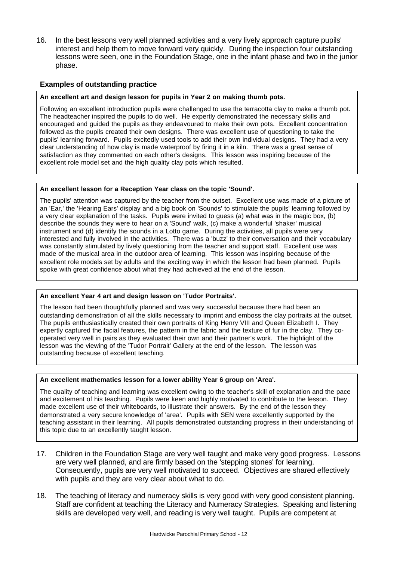16. In the best lessons very well planned activities and a very lively approach capture pupils' interest and help them to move forward very quickly. During the inspection four outstanding lessons were seen, one in the Foundation Stage, one in the infant phase and two in the junior phase.

### **Examples of outstanding practice**

#### **An excellent art and design lesson for pupils in Year 2 on making thumb pots.**

Following an excellent introduction pupils were challenged to use the terracotta clay to make a thumb pot. The headteacher inspired the pupils to do well. He expertly demonstrated the necessary skills and encouraged and guided the pupils as they endeavoured to make their own pots. Excellent concentration followed as the pupils created their own designs. There was excellent use of questioning to take the pupils' learning forward. Pupils excitedly used tools to add their own individual designs. They had a very clear understanding of how clay is made waterproof by firing it in a kiln. There was a great sense of satisfaction as they commented on each other's designs. This lesson was inspiring because of the excellent role model set and the high quality clay pots which resulted.

#### **An excellent lesson for a Reception Year class on the topic 'Sound'.**

The pupils' attention was captured by the teacher from the outset. Excellent use was made of a picture of an 'Ear,' the 'Hearing Ears' display and a big book on 'Sounds' to stimulate the pupils' learning followed by a very clear explanation of the tasks. Pupils were invited to guess (a) what was in the magic box, (b) describe the sounds they were to hear on a 'Sound' walk, (c) make a wonderful 'shaker' musical instrument and (d) identify the sounds in a Lotto game. During the activities, all pupils were very interested and fully involved in the activities. There was a 'buzz' to their conversation and their vocabulary was constantly stimulated by lively questioning from the teacher and support staff. Excellent use was made of the musical area in the outdoor area of learning. This lesson was inspiring because of the excellent role models set by adults and the exciting way in which the lesson had been planned. Pupils spoke with great confidence about what they had achieved at the end of the lesson.

#### **An excellent Year 4 art and design lesson on 'Tudor Portraits'.**

The lesson had been thoughtfully planned and was very successful because there had been an outstanding demonstration of all the skills necessary to imprint and emboss the clay portraits at the outset. The pupils enthusiastically created their own portraits of King Henry VIII and Queen Elizabeth I. They expertly captured the facial features, the pattern in the fabric and the texture of fur in the clay. They cooperated very well in pairs as they evaluated their own and their partner's work. The highlight of the lesson was the viewing of the 'Tudor Portrait' Gallery at the end of the lesson. The lesson was outstanding because of excellent teaching.

#### **An excellent mathematics lesson for a lower ability Year 6 group on 'Area'.**

The quality of teaching and learning was excellent owing to the teacher's skill of explanation and the pace and excitement of his teaching. Pupils were keen and highly motivated to contribute to the lesson. They made excellent use of their whiteboards, to illustrate their answers. By the end of the lesson they demonstrated a very secure knowledge of 'area'. Pupils with SEN were excellently supported by the teaching assistant in their learning. All pupils demonstrated outstanding progress in their understanding of this topic due to an excellently taught lesson.

- 17. Children in the Foundation Stage are very well taught and make very good progress. Lessons are very well planned, and are firmly based on the 'stepping stones' for learning. Consequently, pupils are very well motivated to succeed. Objectives are shared effectively with pupils and they are very clear about what to do.
- 18. The teaching of literacy and numeracy skills is very good with very good consistent planning. Staff are confident at teaching the Literacy and Numeracy Strategies. Speaking and listening skills are developed very well, and reading is very well taught. Pupils are competent at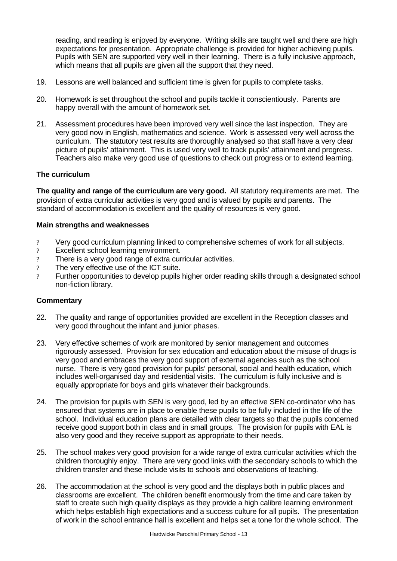reading, and reading is enjoyed by everyone. Writing skills are taught well and there are high expectations for presentation. Appropriate challenge is provided for higher achieving pupils. Pupils with SEN are supported very well in their learning. There is a fully inclusive approach, which means that all pupils are given all the support that they need.

- 19. Lessons are well balanced and sufficient time is given for pupils to complete tasks.
- 20. Homework is set throughout the school and pupils tackle it conscientiously. Parents are happy overall with the amount of homework set.
- 21. Assessment procedures have been improved very well since the last inspection. They are very good now in English, mathematics and science. Work is assessed very well across the curriculum. The statutory test results are thoroughly analysed so that staff have a very clear picture of pupils' attainment. This is used very well to track pupils' attainment and progress. Teachers also make very good use of questions to check out progress or to extend learning.

### **The curriculum**

**The quality and range of the curriculum are very good.** All statutory requirements are met. The provision of extra curricular activities is very good and is valued by pupils and parents. The standard of accommodation is excellent and the quality of resources is very good.

### **Main strengths and weaknesses**

- ? Very good curriculum planning linked to comprehensive schemes of work for all subjects.
- ? Excellent school learning environment.
- ? There is a very good range of extra curricular activities.
- ? The very effective use of the ICT suite.
- ? Further opportunities to develop pupils higher order reading skills through a designated school non-fiction library.

#### **Commentary**

- 22. The quality and range of opportunities provided are excellent in the Reception classes and very good throughout the infant and junior phases.
- 23. Very effective schemes of work are monitored by senior management and outcomes rigorously assessed. Provision for sex education and education about the misuse of drugs is very good and embraces the very good support of external agencies such as the school nurse. There is very good provision for pupils' personal, social and health education, which includes well-organised day and residential visits. The curriculum is fully inclusive and is equally appropriate for boys and girls whatever their backgrounds.
- 24. The provision for pupils with SEN is very good, led by an effective SEN co-ordinator who has ensured that systems are in place to enable these pupils to be fully included in the life of the school. Individual education plans are detailed with clear targets so that the pupils concerned receive good support both in class and in small groups. The provision for pupils with EAL is also very good and they receive support as appropriate to their needs.
- 25. The school makes very good provision for a wide range of extra curricular activities which the children thoroughly enjoy. There are very good links with the secondary schools to which the children transfer and these include visits to schools and observations of teaching.
- 26. The accommodation at the school is very good and the displays both in public places and classrooms are excellent. The children benefit enormously from the time and care taken by staff to create such high quality displays as they provide a high calibre learning environment which helps establish high expectations and a success culture for all pupils. The presentation of work in the school entrance hall is excellent and helps set a tone for the whole school. The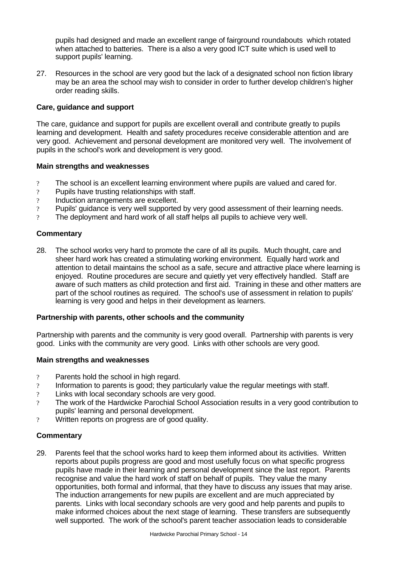pupils had designed and made an excellent range of fairground roundabouts which rotated when attached to batteries. There is a also a very good ICT suite which is used well to support pupils' learning.

27. Resources in the school are very good but the lack of a designated school non fiction library may be an area the school may wish to consider in order to further develop children's higher order reading skills.

### **Care, guidance and support**

The care, guidance and support for pupils are excellent overall and contribute greatly to pupils learning and development. Health and safety procedures receive considerable attention and are very good. Achievement and personal development are monitored very well. The involvement of pupils in the school's work and development is very good.

### **Main strengths and weaknesses**

- ? The school is an excellent learning environment where pupils are valued and cared for.
- ? Pupils have trusting relationships with staff.
- ? Induction arrangements are excellent.
- ? Pupils' guidance is very well supported by very good assessment of their learning needs.
- ? The deployment and hard work of all staff helps all pupils to achieve very well.

### **Commentary**

28. The school works very hard to promote the care of all its pupils. Much thought, care and sheer hard work has created a stimulating working environment. Equally hard work and attention to detail maintains the school as a safe, secure and attractive place where learning is enjoyed. Routine procedures are secure and quietly yet very effectively handled. Staff are aware of such matters as child protection and first aid. Training in these and other matters are part of the school routines as required. The school's use of assessment in relation to pupils' learning is very good and helps in their development as learners.

### **Partnership with parents, other schools and the community**

Partnership with parents and the community is very good overall. Partnership with parents is very good. Links with the community are very good. Links with other schools are very good.

### **Main strengths and weaknesses**

- ? Parents hold the school in high regard.
- ? Information to parents is good; they particularly value the regular meetings with staff.
- ? Links with local secondary schools are very good.
- ? The work of the Hardwicke Parochial School Association results in a very good contribution to pupils' learning and personal development.
- ? Written reports on progress are of good quality.

# **Commentary**

29. Parents feel that the school works hard to keep them informed about its activities. Written reports about pupils progress are good and most usefully focus on what specific progress pupils have made in their learning and personal development since the last report. Parents recognise and value the hard work of staff on behalf of pupils. They value the many opportunities, both formal and informal, that they have to discuss any issues that may arise. The induction arrangements for new pupils are excellent and are much appreciated by parents. Links with local secondary schools are very good and help parents and pupils to make informed choices about the next stage of learning. These transfers are subsequently well supported. The work of the school's parent teacher association leads to considerable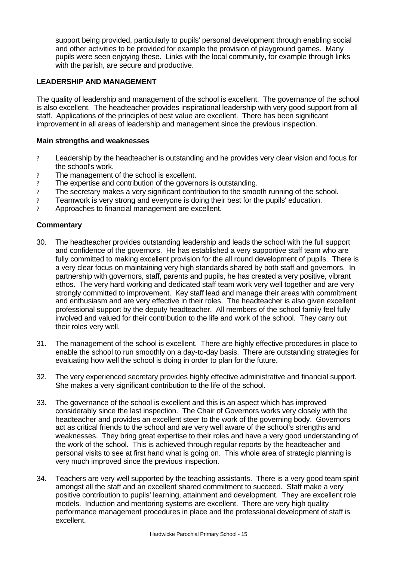support being provided, particularly to pupils' personal development through enabling social and other activities to be provided for example the provision of playground games. Many pupils were seen enjoying these. Links with the local community, for example through links with the parish, are secure and productive.

## **LEADERSHIP AND MANAGEMENT**

The quality of leadership and management of the school is excellent. The governance of the school is also excellent. The headteacher provides inspirational leadership with very good support from all staff. Applications of the principles of best value are excellent. There has been significant improvement in all areas of leadership and management since the previous inspection.

### **Main strengths and weaknesses**

- ? Leadership by the headteacher is outstanding and he provides very clear vision and focus for the school's work.
- ? The management of the school is excellent.
- ? The expertise and contribution of the governors is outstanding.
- ? The secretary makes a very significant contribution to the smooth running of the school.
- ? Teamwork is very strong and everyone is doing their best for the pupils' education.
- ? Approaches to financial management are excellent.

### **Commentary**

- 30. The headteacher provides outstanding leadership and leads the school with the full support and confidence of the governors. He has established a very supportive staff team who are fully committed to making excellent provision for the all round development of pupils. There is a very clear focus on maintaining very high standards shared by both staff and governors. In partnership with governors, staff, parents and pupils, he has created a very positive, vibrant ethos. The very hard working and dedicated staff team work very well together and are very strongly committed to improvement. Key staff lead and manage their areas with commitment and enthusiasm and are very effective in their roles. The headteacher is also given excellent professional support by the deputy headteacher. All members of the school family feel fully involved and valued for their contribution to the life and work of the school. They carry out their roles very well.
- 31. The management of the school is excellent. There are highly effective procedures in place to enable the school to run smoothly on a day-to-day basis. There are outstanding strategies for evaluating how well the school is doing in order to plan for the future.
- 32. The very experienced secretary provides highly effective administrative and financial support. She makes a very significant contribution to the life of the school.
- 33. The governance of the school is excellent and this is an aspect which has improved considerably since the last inspection. The Chair of Governors works very closely with the headteacher and provides an excellent steer to the work of the governing body. Governors act as critical friends to the school and are very well aware of the school's strengths and weaknesses. They bring great expertise to their roles and have a very good understanding of the work of the school. This is achieved through regular reports by the headteacher and personal visits to see at first hand what is going on. This whole area of strategic planning is very much improved since the previous inspection.
- 34. Teachers are very well supported by the teaching assistants. There is a very good team spirit amongst all the staff and an excellent shared commitment to succeed. Staff make a very positive contribution to pupils' learning, attainment and development. They are excellent role models. Induction and mentoring systems are excellent. There are very high quality performance management procedures in place and the professional development of staff is excellent.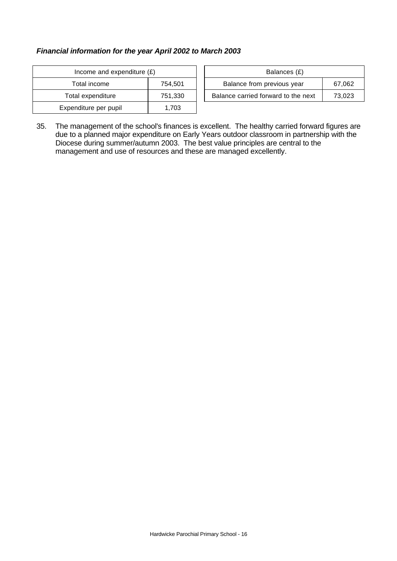## *Financial information for the year April 2002 to March 2003*

| Income and expenditure $(E)$ |         |  | Balances (£)                   |
|------------------------------|---------|--|--------------------------------|
| Total income                 | 754,501 |  | Balance from previous year     |
| Total expenditure            | 751,330 |  | Balance carried forward to the |
| Expenditure per pupil        | 1.703   |  |                                |

| Income and expenditure $(E)$ |         | Balances (£)                         |        |
|------------------------------|---------|--------------------------------------|--------|
| Total income                 | 754.501 | Balance from previous year<br>67,062 |        |
| Total expenditure            | 751.330 | Balance carried forward to the next  | 73.023 |

35. The management of the school's finances is excellent. The healthy carried forward figures are due to a planned major expenditure on Early Years outdoor classroom in partnership with the Diocese during summer/autumn 2003. The best value principles are central to the management and use of resources and these are managed excellently.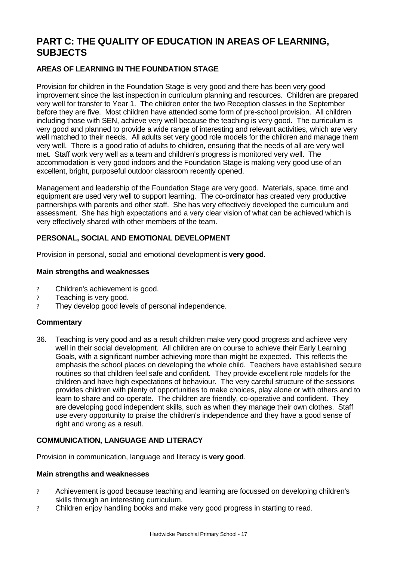# **PART C: THE QUALITY OF EDUCATION IN AREAS OF LEARNING, SUBJECTS**

# **AREAS OF LEARNING IN THE FOUNDATION STAGE**

Provision for children in the Foundation Stage is very good and there has been very good improvement since the last inspection in curriculum planning and resources. Children are prepared very well for transfer to Year 1. The children enter the two Reception classes in the September before they are five. Most children have attended some form of pre-school provision. All children including those with SEN, achieve very well because the teaching is very good. The curriculum is very good and planned to provide a wide range of interesting and relevant activities, which are very well matched to their needs. All adults set very good role models for the children and manage them very well. There is a good ratio of adults to children, ensuring that the needs of all are very well met. Staff work very well as a team and children's progress is monitored very well. The accommodation is very good indoors and the Foundation Stage is making very good use of an excellent, bright, purposeful outdoor classroom recently opened.

Management and leadership of the Foundation Stage are very good. Materials, space, time and equipment are used very well to support learning. The co-ordinator has created very productive partnerships with parents and other staff. She has very effectively developed the curriculum and assessment. She has high expectations and a very clear vision of what can be achieved which is very effectively shared with other members of the team.

## **PERSONAL, SOCIAL AND EMOTIONAL DEVELOPMENT**

Provision in personal, social and emotional development is **very good**.

### **Main strengths and weaknesses**

- ? Children's achievement is good.
- ? Teaching is very good.
- ? They develop good levels of personal independence.

### **Commentary**

36. Teaching is very good and as a result children make very good progress and achieve very well in their social development. All children are on course to achieve their Early Learning Goals, with a significant number achieving more than might be expected. This reflects the emphasis the school places on developing the whole child. Teachers have established secure routines so that children feel safe and confident. They provide excellent role models for the children and have high expectations of behaviour. The very careful structure of the sessions provides children with plenty of opportunities to make choices, play alone or with others and to learn to share and co-operate. The children are friendly, co-operative and confident. They are developing good independent skills, such as when they manage their own clothes. Staff use every opportunity to praise the children's independence and they have a good sense of right and wrong as a result.

### **COMMUNICATION, LANGUAGE AND LITERACY**

Provision in communication, language and literacy is **very good**.

#### **Main strengths and weaknesses**

- ? Achievement is good because teaching and learning are focussed on developing children's skills through an interesting curriculum.
- ? Children enjoy handling books and make very good progress in starting to read.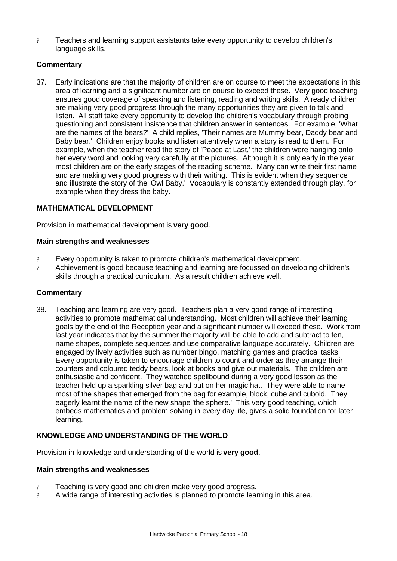? Teachers and learning support assistants take every opportunity to develop children's language skills.

# **Commentary**

37. Early indications are that the majority of children are on course to meet the expectations in this area of learning and a significant number are on course to exceed these. Very good teaching ensures good coverage of speaking and listening, reading and writing skills. Already children are making very good progress through the many opportunities they are given to talk and listen. All staff take every opportunity to develop the children's vocabulary through probing questioning and consistent insistence that children answer in sentences. For example, 'What are the names of the bears?' A child replies, 'Their names are Mummy bear, Daddy bear and Baby bear.' Children enjoy books and listen attentively when a story is read to them. For example, when the teacher read the story of 'Peace at Last,' the children were hanging onto her every word and looking very carefully at the pictures. Although it is only early in the year most children are on the early stages of the reading scheme. Many can write their first name and are making very good progress with their writing. This is evident when they sequence and illustrate the story of the 'Owl Baby.' Vocabulary is constantly extended through play, for example when they dress the baby.

# **MATHEMATICAL DEVELOPMENT**

Provision in mathematical development is **very good**.

## **Main strengths and weaknesses**

- ? Every opportunity is taken to promote children's mathematical development.
- ? Achievement is good because teaching and learning are focussed on developing children's skills through a practical curriculum. As a result children achieve well.

### **Commentary**

38. Teaching and learning are very good. Teachers plan a very good range of interesting activities to promote mathematical understanding. Most children will achieve their learning goals by the end of the Reception year and a significant number will exceed these. Work from last year indicates that by the summer the majority will be able to add and subtract to ten, name shapes, complete sequences and use comparative language accurately. Children are engaged by lively activities such as number bingo, matching games and practical tasks. Every opportunity is taken to encourage children to count and order as they arrange their counters and coloured teddy bears, look at books and give out materials. The children are enthusiastic and confident. They watched spellbound during a very good lesson as the teacher held up a sparkling silver bag and put on her magic hat. They were able to name most of the shapes that emerged from the bag for example, block, cube and cuboid. They eagerly learnt the name of the new shape 'the sphere.' This very good teaching, which embeds mathematics and problem solving in every day life, gives a solid foundation for later learning.

# **KNOWLEDGE AND UNDERSTANDING OF THE WORLD**

Provision in knowledge and understanding of the world is **very good**.

#### **Main strengths and weaknesses**

- ? Teaching is very good and children make very good progress.
- ? A wide range of interesting activities is planned to promote learning in this area.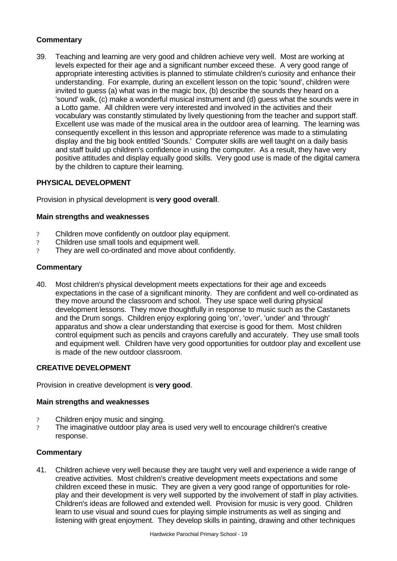# **Commentary**

39. Teaching and learning are very good and children achieve very well. Most are working at levels expected for their age and a significant number exceed these. A very good range of appropriate interesting activities is planned to stimulate children's curiosity and enhance their understanding. For example, during an excellent lesson on the topic 'sound', children were invited to guess (a) what was in the magic box, (b) describe the sounds they heard on a 'sound' walk, (c) make a wonderful musical instrument and (d) guess what the sounds were in a Lotto game. All children were very interested and involved in the activities and their vocabulary was constantly stimulated by lively questioning from the teacher and support staff. Excellent use was made of the musical area in the outdoor area of learning. The learning was consequently excellent in this lesson and appropriate reference was made to a stimulating display and the big book entitled 'Sounds.' Computer skills are well taught on a daily basis and staff build up children's confidence in using the computer. As a result, they have very positive attitudes and display equally good skills. Very good use is made of the digital camera by the children to capture their learning.

## **PHYSICAL DEVELOPMENT**

Provision in physical development is **very good overall**.

### **Main strengths and weaknesses**

- ? Children move confidently on outdoor play equipment.
- ? Children use small tools and equipment well.
- ? They are well co-ordinated and move about confidently.

### **Commentary**

40. Most children's physical development meets expectations for their age and exceeds expectations in the case of a significant minority. They are confident and well co-ordinated as they move around the classroom and school. They use space well during physical development lessons. They move thoughtfully in response to music such as the Castanets and the Drum songs. Children enjoy exploring going 'on', 'over', 'under' and 'through' apparatus and show a clear understanding that exercise is good for them. Most children control equipment such as pencils and crayons carefully and accurately. They use small tools and equipment well. Children have very good opportunities for outdoor play and excellent use is made of the new outdoor classroom.

### **CREATIVE DEVELOPMENT**

Provision in creative development is **very good**.

#### **Main strengths and weaknesses**

- ? Children enjoy music and singing.
- ? The imaginative outdoor play area is used very well to encourage children's creative response.

### **Commentary**

41. Children achieve very well because they are taught very well and experience a wide range of creative activities. Most children's creative development meets expectations and some children exceed these in music. They are given a very good range of opportunities for roleplay and their development is very well supported by the involvement of staff in play activities. Children's ideas are followed and extended well. Provision for music is very good. Children learn to use visual and sound cues for playing simple instruments as well as singing and listening with great enjoyment. They develop skills in painting, drawing and other techniques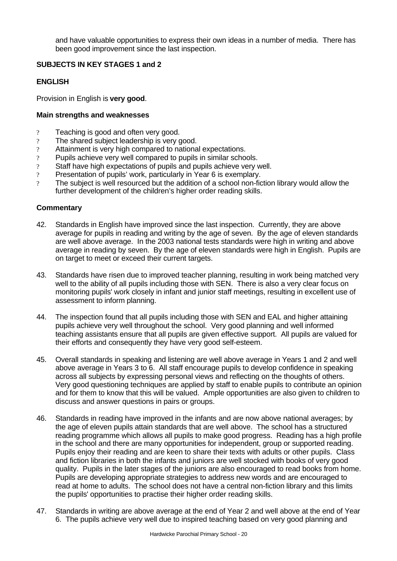and have valuable opportunities to express their own ideas in a number of media. There has been good improvement since the last inspection.

## **SUBJECTS IN KEY STAGES 1 and 2**

### **ENGLISH**

Provision in English is **very good**.

### **Main strengths and weaknesses**

- ? Teaching is good and often very good.
- ? The shared subject leadership is very good.
- ? Attainment is very high compared to national expectations.
- ? Pupils achieve very well compared to pupils in similar schools.
- ? Staff have high expectations of pupils and pupils achieve very well.
- ? Presentation of pupils' work, particularly in Year 6 is exemplary.
- ? The subject is well resourced but the addition of a school non-fiction library would allow the further development of the children's higher order reading skills.

### **Commentary**

- 42. Standards in English have improved since the last inspection. Currently, they are above average for pupils in reading and writing by the age of seven. By the age of eleven standards are well above average. In the 2003 national tests standards were high in writing and above average in reading by seven. By the age of eleven standards were high in English. Pupils are on target to meet or exceed their current targets.
- 43. Standards have risen due to improved teacher planning, resulting in work being matched very well to the ability of all pupils including those with SEN. There is also a very clear focus on monitoring pupils' work closely in infant and junior staff meetings, resulting in excellent use of assessment to inform planning.
- 44. The inspection found that all pupils including those with SEN and EAL and higher attaining pupils achieve very well throughout the school. Very good planning and well informed teaching assistants ensure that all pupils are given effective support. All pupils are valued for their efforts and consequently they have very good self-esteem.
- 45. Overall standards in speaking and listening are well above average in Years 1 and 2 and well above average in Years 3 to 6. All staff encourage pupils to develop confidence in speaking across all subjects by expressing personal views and reflecting on the thoughts of others. Very good questioning techniques are applied by staff to enable pupils to contribute an opinion and for them to know that this will be valued. Ample opportunities are also given to children to discuss and answer questions in pairs or groups.
- 46. Standards in reading have improved in the infants and are now above national averages; by the age of eleven pupils attain standards that are well above. The school has a structured reading programme which allows all pupils to make good progress. Reading has a high profile in the school and there are many opportunities for independent, group or supported reading. Pupils enjoy their reading and are keen to share their texts with adults or other pupils. Class and fiction libraries in both the infants and juniors are well stocked with books of very good quality. Pupils in the later stages of the juniors are also encouraged to read books from home. Pupils are developing appropriate strategies to address new words and are encouraged to read at home to adults. The school does not have a central non-fiction library and this limits the pupils' opportunities to practise their higher order reading skills.
- 47. Standards in writing are above average at the end of Year 2 and well above at the end of Year 6. The pupils achieve very well due to inspired teaching based on very good planning and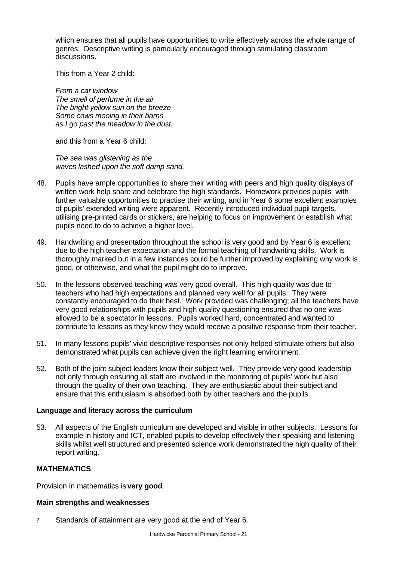which ensures that all pupils have opportunities to write effectively across the whole range of genres. Descriptive writing is particularly encouraged through stimulating classroom discussions.

This from a Year 2 child:

*From a car window The smell of perfume in the air The bright yellow sun on the breeze Some cows mooing in their barns as I go past the meadow in the dust.*

and this from a Year 6 child:

*The sea was glistening as the waves lashed upon the soft damp sand.*

- 48. Pupils have ample opportunities to share their writing with peers and high quality displays of written work help share and celebrate the high standards. Homework provides pupils with further valuable opportunities to practise their writing, and in Year 6 some excellent examples of pupils' extended writing were apparent. Recently introduced individual pupil targets, utilising pre-printed cards or stickers, are helping to focus on improvement or establish what pupils need to do to achieve a higher level.
- 49. Handwriting and presentation throughout the school is very good and by Year 6 is excellent due to the high teacher expectation and the formal teaching of handwriting skills. Work is thoroughly marked but in a few instances could be further improved by explaining why work is good, or otherwise, and what the pupil might do to improve.
- 50. In the lessons observed teaching was very good overall. This high quality was due to teachers who had high expectations and planned very well for all pupils. They were constantly encouraged to do their best. Work provided was challenging; all the teachers have very good relationships with pupils and high quality questioning ensured that no one was allowed to be a spectator in lessons. Pupils worked hard, concentrated and wanted to contribute to lessons as they knew they would receive a positive response from their teacher.
- 51. In many lessons pupils' vivid descriptive responses not only helped stimulate others but also demonstrated what pupils can achieve given the right learning environment.
- 52. Both of the joint subject leaders know their subject well. They provide very good leadership not only through ensuring all staff are involved in the monitoring of pupils' work but also through the quality of their own teaching. They are enthusiastic about their subject and ensure that this enthusiasm is absorbed both by other teachers and the pupils.

### **Language and literacy across the curriculum**

53. All aspects of the English curriculum are developed and visible in other subjects. Lessons for example in history and ICT, enabled pupils to develop effectively their speaking and listening skills whilst well structured and presented science work demonstrated the high quality of their report writing.

### **MATHEMATICS**

Provision in mathematics is **very good**.

#### **Main strengths and weaknesses**

? Standards of attainment are very good at the end of Year 6.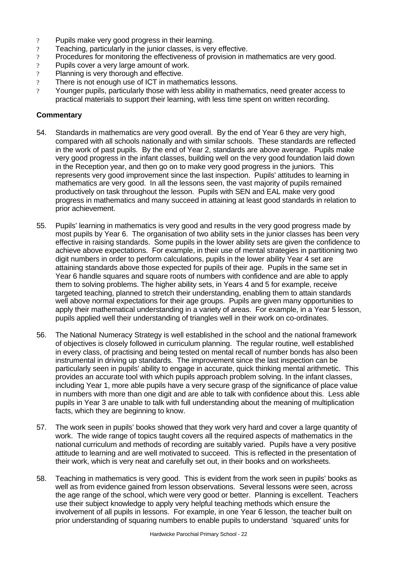- ? Pupils make very good progress in their learning.
- ? Teaching, particularly in the junior classes, is very effective.
- ? Procedures for monitoring the effectiveness of provision in mathematics are very good.
- ? Pupils cover a very large amount of work.
- ? Planning is very thorough and effective.
- ? There is not enough use of ICT in mathematics lessons.
- ? Younger pupils, particularly those with less ability in mathematics, need greater access to practical materials to support their learning, with less time spent on written recording.

### **Commentary**

- 54. Standards in mathematics are very good overall. By the end of Year 6 they are very high, compared with all schools nationally and with similar schools. These standards are reflected in the work of past pupils. By the end of Year 2, standards are above average. Pupils make very good progress in the infant classes, building well on the very good foundation laid down in the Reception year, and then go on to make very good progress in the juniors. This represents very good improvement since the last inspection. Pupils' attitudes to learning in mathematics are very good. In all the lessons seen, the vast majority of pupils remained productively on task throughout the lesson. Pupils with SEN and EAL make very good progress in mathematics and many succeed in attaining at least good standards in relation to prior achievement.
- 55. Pupils' learning in mathematics is very good and results in the very good progress made by most pupils by Year 6. The organisation of two ability sets in the junior classes has been very effective in raising standards. Some pupils in the lower ability sets are given the confidence to achieve above expectations. For example, in their use of mental strategies in partitioning two digit numbers in order to perform calculations, pupils in the lower ability Year 4 set are attaining standards above those expected for pupils of their age. Pupils in the same set in Year 6 handle squares and square roots of numbers with confidence and are able to apply them to solving problems. The higher ability sets, in Years 4 and 5 for example, receive targeted teaching, planned to stretch their understanding, enabling them to attain standards well above normal expectations for their age groups. Pupils are given many opportunities to apply their mathematical understanding in a variety of areas. For example, in a Year 5 lesson, pupils applied well their understanding of triangles well in their work on co-ordinates.
- 56. The National Numeracy Strategy is well established in the school and the national framework of objectives is closely followed in curriculum planning. The regular routine, well established in every class, of practising and being tested on mental recall of number bonds has also been instrumental in driving up standards. The improvement since the last inspection can be particularly seen in pupils' ability to engage in accurate, quick thinking mental arithmetic. This provides an accurate tool with which pupils approach problem solving. In the infant classes, including Year 1, more able pupils have a very secure grasp of the significance of place value in numbers with more than one digit and are able to talk with confidence about this. Less able pupils in Year 3 are unable to talk with full understanding about the meaning of multiplication facts, which they are beginning to know.
- 57. The work seen in pupils' books showed that they work very hard and cover a large quantity of work. The wide range of topics taught covers all the required aspects of mathematics in the national curriculum and methods of recording are suitably varied. Pupils have a very positive attitude to learning and are well motivated to succeed. This is reflected in the presentation of their work, which is very neat and carefully set out, in their books and on worksheets.
- 58. Teaching in mathematics is very good. This is evident from the work seen in pupils' books as well as from evidence gained from lesson observations. Several lessons were seen, across the age range of the school, which were very good or better. Planning is excellent. Teachers use their subject knowledge to apply very helpful teaching methods which ensure the involvement of all pupils in lessons. For example, in one Year 6 lesson, the teacher built on prior understanding of squaring numbers to enable pupils to understand 'squared' units for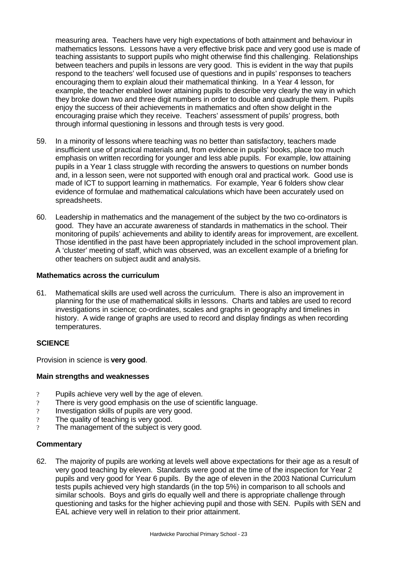measuring area. Teachers have very high expectations of both attainment and behaviour in mathematics lessons. Lessons have a very effective brisk pace and very good use is made of teaching assistants to support pupils who might otherwise find this challenging. Relationships between teachers and pupils in lessons are very good. This is evident in the way that pupils respond to the teachers' well focused use of questions and in pupils' responses to teachers encouraging them to explain aloud their mathematical thinking. In a Year 4 lesson, for example, the teacher enabled lower attaining pupils to describe very clearly the way in which they broke down two and three digit numbers in order to double and quadruple them. Pupils enjoy the success of their achievements in mathematics and often show delight in the encouraging praise which they receive. Teachers' assessment of pupils' progress, both through informal questioning in lessons and through tests is very good.

- 59. In a minority of lessons where teaching was no better than satisfactory, teachers made insufficient use of practical materials and, from evidence in pupils' books, place too much emphasis on written recording for younger and less able pupils. For example, low attaining pupils in a Year 1 class struggle with recording the answers to questions on number bonds and, in a lesson seen, were not supported with enough oral and practical work. Good use is made of ICT to support learning in mathematics. For example, Year 6 folders show clear evidence of formulae and mathematical calculations which have been accurately used on spreadsheets.
- 60. Leadership in mathematics and the management of the subject by the two co-ordinators is good. They have an accurate awareness of standards in mathematics in the school. Their monitoring of pupils' achievements and ability to identify areas for improvement, are excellent. Those identified in the past have been appropriately included in the school improvement plan. A 'cluster' meeting of staff, which was observed, was an excellent example of a briefing for other teachers on subject audit and analysis.

### **Mathematics across the curriculum**

61. Mathematical skills are used well across the curriculum. There is also an improvement in planning for the use of mathematical skills in lessons. Charts and tables are used to record investigations in science; co-ordinates, scales and graphs in geography and timelines in history. A wide range of graphs are used to record and display findings as when recording temperatures.

### **SCIENCE**

Provision in science is **very good**.

#### **Main strengths and weaknesses**

- ? Pupils achieve very well by the age of eleven.
- ? There is very good emphasis on the use of scientific language.
- ? Investigation skills of pupils are very good.
- ? The quality of teaching is very good.
- ? The management of the subject is very good.

#### **Commentary**

62. The majority of pupils are working at levels well above expectations for their age as a result of very good teaching by eleven. Standards were good at the time of the inspection for Year 2 pupils and very good for Year 6 pupils. By the age of eleven in the 2003 National Curriculum tests pupils achieved very high standards (in the top 5%) in comparison to all schools and similar schools. Boys and girls do equally well and there is appropriate challenge through questioning and tasks for the higher achieving pupil and those with SEN. Pupils with SEN and EAL achieve very well in relation to their prior attainment.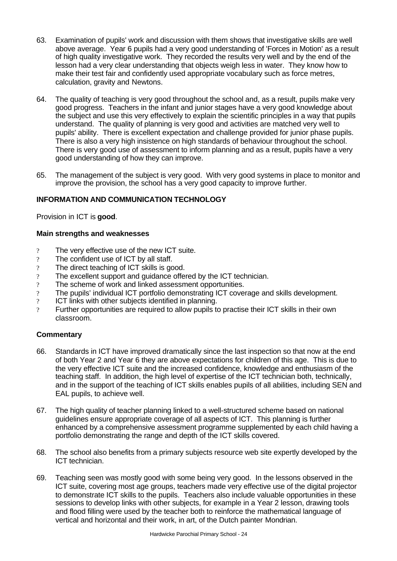- 63. Examination of pupils' work and discussion with them shows that investigative skills are well above average. Year 6 pupils had a very good understanding of 'Forces in Motion' as a result of high quality investigative work. They recorded the results very well and by the end of the lesson had a very clear understanding that objects weigh less in water. They know how to make their test fair and confidently used appropriate vocabulary such as force metres, calculation, gravity and Newtons.
- 64. The quality of teaching is very good throughout the school and, as a result, pupils make very good progress. Teachers in the infant and junior stages have a very good knowledge about the subject and use this very effectively to explain the scientific principles in a way that pupils understand. The quality of planning is very good and activities are matched very well to pupils' ability. There is excellent expectation and challenge provided for junior phase pupils. There is also a very high insistence on high standards of behaviour throughout the school. There is very good use of assessment to inform planning and as a result, pupils have a very good understanding of how they can improve.
- 65. The management of the subject is very good. With very good systems in place to monitor and improve the provision, the school has a very good capacity to improve further.

## **INFORMATION AND COMMUNICATION TECHNOLOGY**

Provision in ICT is **good**.

### **Main strengths and weaknesses**

- ? The very effective use of the new ICT suite.
- ? The confident use of ICT by all staff.
- ? The direct teaching of ICT skills is good.
- ? The excellent support and guidance offered by the ICT technician.
- ? The scheme of work and linked assessment opportunities.
- ? The pupils' individual ICT portfolio demonstrating ICT coverage and skills development.
- ? ICT links with other subjects identified in planning.
- ? Further opportunities are required to allow pupils to practise their ICT skills in their own classroom.

### **Commentary**

- 66. Standards in ICT have improved dramatically since the last inspection so that now at the end of both Year 2 and Year 6 they are above expectations for children of this age. This is due to the very effective ICT suite and the increased confidence, knowledge and enthusiasm of the teaching staff. In addition, the high level of expertise of the ICT technician both, technically, and in the support of the teaching of ICT skills enables pupils of all abilities, including SEN and EAL pupils, to achieve well.
- 67. The high quality of teacher planning linked to a well-structured scheme based on national guidelines ensure appropriate coverage of all aspects of ICT. This planning is further enhanced by a comprehensive assessment programme supplemented by each child having a portfolio demonstrating the range and depth of the ICT skills covered.
- 68. The school also benefits from a primary subjects resource web site expertly developed by the ICT technician.
- 69. Teaching seen was mostly good with some being very good. In the lessons observed in the ICT suite, covering most age groups, teachers made very effective use of the digital projector to demonstrate ICT skills to the pupils. Teachers also include valuable opportunities in these sessions to develop links with other subjects, for example in a Year 2 lesson, drawing tools and flood filling were used by the teacher both to reinforce the mathematical language of vertical and horizontal and their work, in art, of the Dutch painter Mondrian.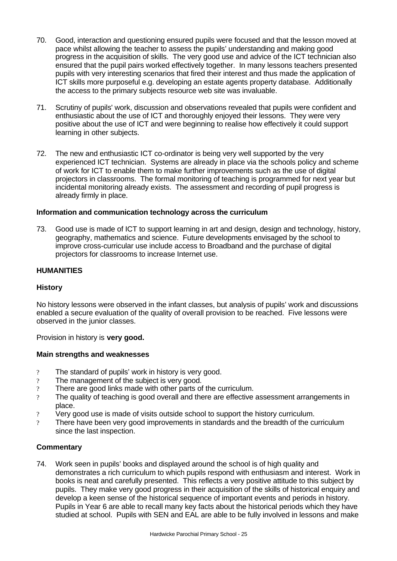- 70. Good, interaction and questioning ensured pupils were focused and that the lesson moved at pace whilst allowing the teacher to assess the pupils' understanding and making good progress in the acquisition of skills. The very good use and advice of the ICT technician also ensured that the pupil pairs worked effectively together. In many lessons teachers presented pupils with very interesting scenarios that fired their interest and thus made the application of ICT skills more purposeful e.g. developing an estate agents property database. Additionally the access to the primary subjects resource web site was invaluable.
- 71. Scrutiny of pupils' work, discussion and observations revealed that pupils were confident and enthusiastic about the use of ICT and thoroughly enjoyed their lessons. They were very positive about the use of ICT and were beginning to realise how effectively it could support learning in other subjects.
- 72. The new and enthusiastic ICT co-ordinator is being very well supported by the very experienced ICT technician. Systems are already in place via the schools policy and scheme of work for ICT to enable them to make further improvements such as the use of digital projectors in classrooms. The formal monitoring of teaching is programmed for next year but incidental monitoring already exists. The assessment and recording of pupil progress is already firmly in place.

### **Information and communication technology across the curriculum**

73. Good use is made of ICT to support learning in art and design, design and technology, history, geography, mathematics and science. Future developments envisaged by the school to improve cross-curricular use include access to Broadband and the purchase of digital projectors for classrooms to increase Internet use.

### **HUMANITIES**

#### **History**

No history lessons were observed in the infant classes, but analysis of pupils' work and discussions enabled a secure evaluation of the quality of overall provision to be reached. Five lessons were observed in the junior classes.

Provision in history is **very good.**

#### **Main strengths and weaknesses**

- ? The standard of pupils' work in history is very good.
- ? The management of the subject is very good.
- ? There are good links made with other parts of the curriculum.
- ? The quality of teaching is good overall and there are effective assessment arrangements in place.
- ? Very good use is made of visits outside school to support the history curriculum.
- ? There have been very good improvements in standards and the breadth of the curriculum since the last inspection.

#### **Commentary**

74. Work seen in pupils' books and displayed around the school is of high quality and demonstrates a rich curriculum to which pupils respond with enthusiasm and interest. Work in books is neat and carefully presented. This reflects a very positive attitude to this subject by pupils. They make very good progress in their acquisition of the skills of historical enquiry and develop a keen sense of the historical sequence of important events and periods in history. Pupils in Year 6 are able to recall many key facts about the historical periods which they have studied at school. Pupils with SEN and EAL are able to be fully involved in lessons and make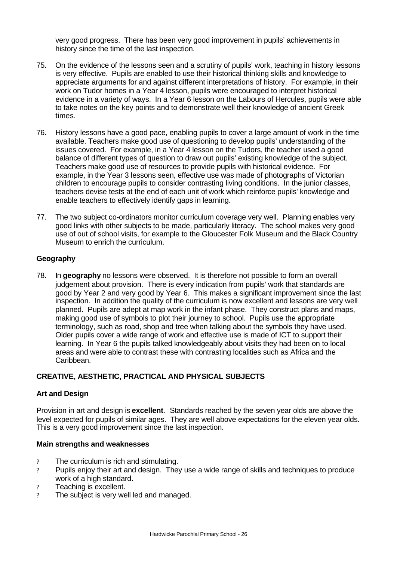very good progress. There has been very good improvement in pupils' achievements in history since the time of the last inspection.

- 75. On the evidence of the lessons seen and a scrutiny of pupils' work, teaching in history lessons is very effective. Pupils are enabled to use their historical thinking skills and knowledge to appreciate arguments for and against different interpretations of history. For example, in their work on Tudor homes in a Year 4 lesson, pupils were encouraged to interpret historical evidence in a variety of ways. In a Year 6 lesson on the Labours of Hercules, pupils were able to take notes on the key points and to demonstrate well their knowledge of ancient Greek times.
- 76. History lessons have a good pace, enabling pupils to cover a large amount of work in the time available. Teachers make good use of questioning to develop pupils' understanding of the issues covered. For example, in a Year 4 lesson on the Tudors, the teacher used a good balance of different types of question to draw out pupils' existing knowledge of the subject. Teachers make good use of resources to provide pupils with historical evidence. For example, in the Year 3 lessons seen, effective use was made of photographs of Victorian children to encourage pupils to consider contrasting living conditions. In the junior classes, teachers devise tests at the end of each unit of work which reinforce pupils' knowledge and enable teachers to effectively identify gaps in learning.
- 77. The two subject co-ordinators monitor curriculum coverage very well. Planning enables very good links with other subjects to be made, particularly literacy. The school makes very good use of out of school visits, for example to the Gloucester Folk Museum and the Black Country Museum to enrich the curriculum.

## **Geography**

78. In **geography** no lessons were observed. It is therefore not possible to form an overall judgement about provision. There is every indication from pupils' work that standards are good by Year 2 and very good by Year 6. This makes a significant improvement since the last inspection. In addition the quality of the curriculum is now excellent and lessons are very well planned. Pupils are adept at map work in the infant phase. They construct plans and maps, making good use of symbols to plot their journey to school. Pupils use the appropriate terminology, such as road, shop and tree when talking about the symbols they have used. Older pupils cover a wide range of work and effective use is made of ICT to support their learning. In Year 6 the pupils talked knowledgeably about visits they had been on to local areas and were able to contrast these with contrasting localities such as Africa and the Caribbean.

### **CREATIVE, AESTHETIC, PRACTICAL AND PHYSICAL SUBJECTS**

### **Art and Design**

Provision in art and design is **excellent**. Standards reached by the seven year olds are above the level expected for pupils of similar ages. They are well above expectations for the eleven year olds. This is a very good improvement since the last inspection.

### **Main strengths and weaknesses**

- ? The curriculum is rich and stimulating.
- ? Pupils enjoy their art and design. They use a wide range of skills and techniques to produce work of a high standard.
- ? Teaching is excellent.
- ? The subject is very well led and managed.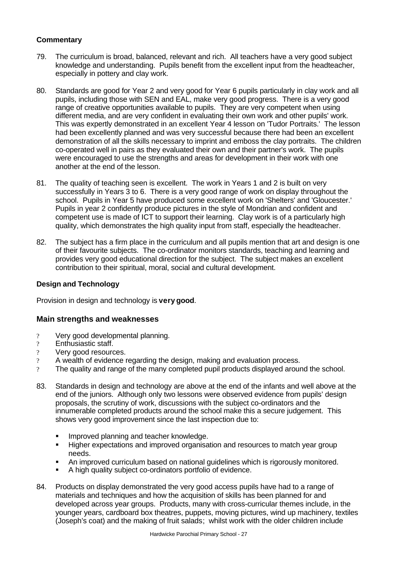# **Commentary**

- 79. The curriculum is broad, balanced, relevant and rich. All teachers have a very good subject knowledge and understanding. Pupils benefit from the excellent input from the headteacher, especially in pottery and clay work.
- 80. Standards are good for Year 2 and very good for Year 6 pupils particularly in clay work and all pupils, including those with SEN and EAL, make very good progress. There is a very good range of creative opportunities available to pupils. They are very competent when using different media, and are very confident in evaluating their own work and other pupils' work. This was expertly demonstrated in an excellent Year 4 lesson on 'Tudor Portraits.' The lesson had been excellently planned and was very successful because there had been an excellent demonstration of all the skills necessary to imprint and emboss the clay portraits. The children co-operated well in pairs as they evaluated their own and their partner's work. The pupils were encouraged to use the strengths and areas for development in their work with one another at the end of the lesson.
- 81. The quality of teaching seen is excellent. The work in Years 1 and 2 is built on very successfully in Years 3 to 6. There is a very good range of work on display throughout the school. Pupils in Year 5 have produced some excellent work on 'Shelters' and 'Gloucester.' Pupils in year 2 confidently produce pictures in the style of Mondrian and confident and competent use is made of ICT to support their learning. Clay work is of a particularly high quality, which demonstrates the high quality input from staff, especially the headteacher.
- 82. The subject has a firm place in the curriculum and all pupils mention that art and design is one of their favourite subjects. The co-ordinator monitors standards, teaching and learning and provides very good educational direction for the subject. The subject makes an excellent contribution to their spiritual, moral, social and cultural development.

### **Design and Technology**

Provision in design and technology is **very good**.

### **Main strengths and weaknesses**

- ? Very good developmental planning.
- ? Enthusiastic staff.
- ? Very good resources.
- ? A wealth of evidence regarding the design, making and evaluation process.
- ? The quality and range of the many completed pupil products displayed around the school.
- 83. Standards in design and technology are above at the end of the infants and well above at the end of the juniors. Although only two lessons were observed evidence from pupils' design proposals, the scrutiny of work, discussions with the subject co-ordinators and the innumerable completed products around the school make this a secure judgement. This shows very good improvement since the last inspection due to:
	- **IMPROVED PLANNING AND THE IMPROVED FIG.**
	- **Higher expectations and improved organisation and resources to match year group** needs.
	- ß An improved curriculum based on national guidelines which is rigorously monitored.
	- ß A high quality subject co-ordinators portfolio of evidence.
- 84. Products on display demonstrated the very good access pupils have had to a range of materials and techniques and how the acquisition of skills has been planned for and developed across year groups. Products, many with cross-curricular themes include, in the younger years, cardboard box theatres, puppets, moving pictures, wind up machinery, textiles (Joseph's coat) and the making of fruit salads; whilst work with the older children include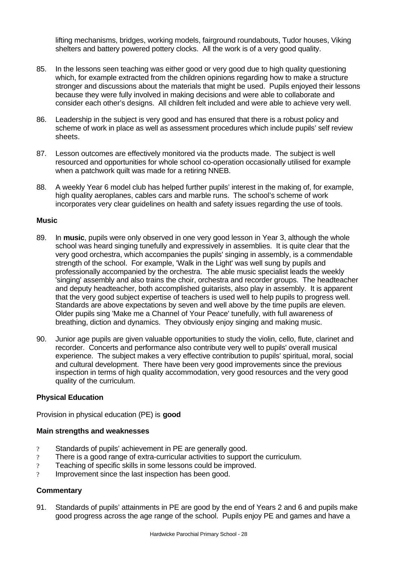lifting mechanisms, bridges, working models, fairground roundabouts, Tudor houses, Viking shelters and battery powered pottery clocks. All the work is of a very good quality.

- 85. In the lessons seen teaching was either good or very good due to high quality questioning which, for example extracted from the children opinions regarding how to make a structure stronger and discussions about the materials that might be used. Pupils enjoyed their lessons because they were fully involved in making decisions and were able to collaborate and consider each other's designs. All children felt included and were able to achieve very well.
- 86. Leadership in the subject is very good and has ensured that there is a robust policy and scheme of work in place as well as assessment procedures which include pupils' self review sheets.
- 87. Lesson outcomes are effectively monitored via the products made. The subject is well resourced and opportunities for whole school co-operation occasionally utilised for example when a patchwork quilt was made for a retiring NNEB.
- 88. A weekly Year 6 model club has helped further pupils' interest in the making of, for example, high quality aeroplanes, cables cars and marble runs. The school's scheme of work incorporates very clear guidelines on health and safety issues regarding the use of tools.

### **Music**

- 89. In **music**, pupils were only observed in one very good lesson in Year 3, although the whole school was heard singing tunefully and expressively in assemblies. It is quite clear that the very good orchestra, which accompanies the pupils' singing in assembly, is a commendable strength of the school. For example, 'Walk in the Light' was well sung by pupils and professionally accompanied by the orchestra. The able music specialist leads the weekly 'singing' assembly and also trains the choir, orchestra and recorder groups. The headteacher and deputy headteacher, both accomplished guitarists, also play in assembly. It is apparent that the very good subject expertise of teachers is used well to help pupils to progress well. Standards are above expectations by seven and well above by the time pupils are eleven. Older pupils sing 'Make me a Channel of Your Peace' tunefully, with full awareness of breathing, diction and dynamics. They obviously enjoy singing and making music.
- 90. Junior age pupils are given valuable opportunities to study the violin, cello, flute, clarinet and recorder. Concerts and performance also contribute very well to pupils' overall musical experience. The subject makes a very effective contribution to pupils' spiritual, moral, social and cultural development. There have been very good improvements since the previous inspection in terms of high quality accommodation, very good resources and the very good quality of the curriculum.

### **Physical Education**

Provision in physical education (PE) is **good**

### **Main strengths and weaknesses**

- ? Standards of pupils' achievement in PE are generally good.
- ? There is a good range of extra-curricular activities to support the curriculum.
- ? Teaching of specific skills in some lessons could be improved.
- ? Improvement since the last inspection has been good.

# **Commentary**

91. Standards of pupils' attainments in PE are good by the end of Years 2 and 6 and pupils make good progress across the age range of the school. Pupils enjoy PE and games and have a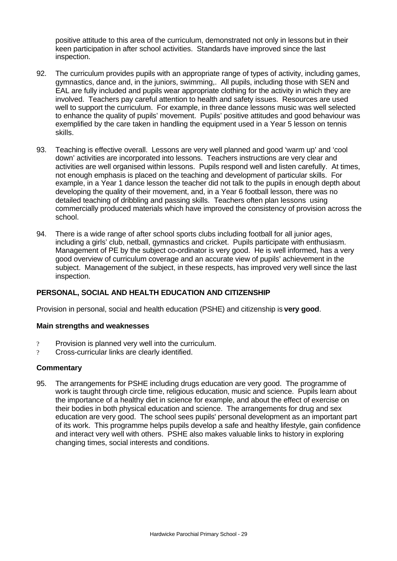positive attitude to this area of the curriculum, demonstrated not only in lessons but in their keen participation in after school activities. Standards have improved since the last inspection.

- 92. The curriculum provides pupils with an appropriate range of types of activity, including games, gymnastics, dance and, in the juniors, swimming,. All pupils, including those with SEN and EAL are fully included and pupils wear appropriate clothing for the activity in which they are involved. Teachers pay careful attention to health and safety issues. Resources are used well to support the curriculum. For example, in three dance lessons music was well selected to enhance the quality of pupils' movement. Pupils' positive attitudes and good behaviour was exemplified by the care taken in handling the equipment used in a Year 5 lesson on tennis skills.
- 93. Teaching is effective overall. Lessons are very well planned and good 'warm up' and 'cool down' activities are incorporated into lessons. Teachers instructions are very clear and activities are well organised within lessons. Pupils respond well and listen carefully. At times, not enough emphasis is placed on the teaching and development of particular skills. For example, in a Year 1 dance lesson the teacher did not talk to the pupils in enough depth about developing the quality of their movement, and, in a Year 6 football lesson, there was no detailed teaching of dribbling and passing skills. Teachers often plan lessons using commercially produced materials which have improved the consistency of provision across the school.
- 94. There is a wide range of after school sports clubs including football for all junior ages, including a girls' club, netball, gymnastics and cricket. Pupils participate with enthusiasm. Management of PE by the subject co-ordinator is very good. He is well informed, has a very good overview of curriculum coverage and an accurate view of pupils' achievement in the subject. Management of the subject, in these respects, has improved very well since the last inspection.

### **PERSONAL, SOCIAL AND HEALTH EDUCATION AND CITIZENSHIP**

Provision in personal, social and health education (PSHE) and citizenship is **very good**.

#### **Main strengths and weaknesses**

- ? Provision is planned very well into the curriculum.
- ? Cross-curricular links are clearly identified.

### **Commentary**

95. The arrangements for PSHE including drugs education are very good. The programme of work is taught through circle time, religious education, music and science. Pupils learn about the importance of a healthy diet in science for example, and about the effect of exercise on their bodies in both physical education and science. The arrangements for drug and sex education are very good. The school sees pupils' personal development as an important part of its work. This programme helps pupils develop a safe and healthy lifestyle, gain confidence and interact very well with others. PSHE also makes valuable links to history in exploring changing times, social interests and conditions.